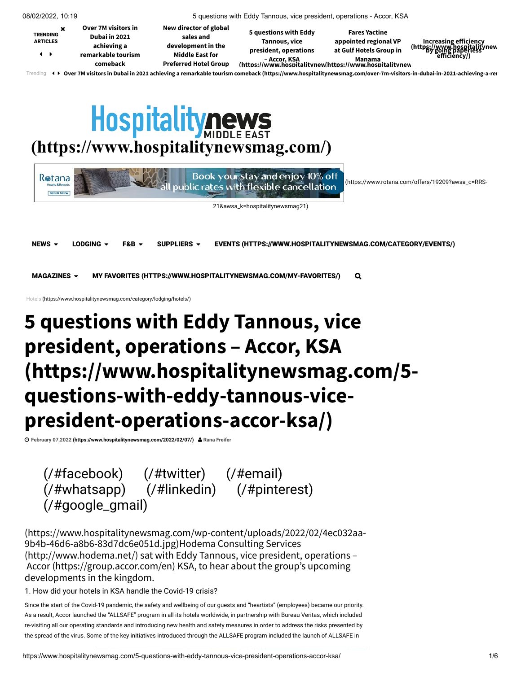<span id="page-0-1"></span>

| 08/02/2022, 10:19                                                                                                                                                              |  | 5 questions with Eddy Tannous, vice president, operations - Accor, KSA                |                                                                                                                     |                                                                                                                                                  |                                                                          |                                                                      |  |  |
|--------------------------------------------------------------------------------------------------------------------------------------------------------------------------------|--|---------------------------------------------------------------------------------------|---------------------------------------------------------------------------------------------------------------------|--------------------------------------------------------------------------------------------------------------------------------------------------|--------------------------------------------------------------------------|----------------------------------------------------------------------|--|--|
| <b>TRENDING</b><br><b>ARTICLES</b><br>$\rightarrow$                                                                                                                            |  | Over 7M visitors in<br>Dubai in 2021<br>achieving a<br>remarkable tourism<br>comeback | New director of global<br>sales and<br>development in the<br><b>Middle East for</b><br><b>Preferred Hotel Group</b> | 5 questions with Eddy<br>Tannous, vice<br>president, operations<br>- Accor, KSA Manama<br>https://www.hospitalitynew/https://www.hospitalitynew/ | <b>Fares Yactine</b><br>appointed regional VP<br>at Gulf Hotels Group in | Increasing efficiency<br>https://www.bospitalitynew)<br>efficiency/) |  |  |
| ↓▶ Over 7M visitors in Dubai in 2021 achieving a remarkable tourism comeback (https://www.hospitalitynewsmag.com/over-7m-visitors-in-dubai-in-2021-achieving-a-reɪ<br>Trending |  |                                                                                       |                                                                                                                     |                                                                                                                                                  |                                                                          |                                                                      |  |  |

# <span id="page-0-0"></span>**Hospitalitynews [\(https://www.hospitalitynewsmag.com/\)](https://www.hospitalitynewsmag.com/)**

| <b>R</b> otana<br><b>Hotels &amp; Resorts</b><br><b>BOOK NOW</b> |                |         |                  | Book your stay and enjoy 10% off<br>blic rates with flexible cancellation | (https://www.rotana.com/offers/19209?awsa_c=RRS- |
|------------------------------------------------------------------|----------------|---------|------------------|---------------------------------------------------------------------------|--------------------------------------------------|
|                                                                  |                |         |                  | 21&awsa_k=hospitalitynewsmag21)                                           |                                                  |
| NEWS $\sim$                                                      | LODGING $\sim$ | $F&B -$ | SUPPLIERS $\sim$ | EVENTS (HTTPS://WWW.HOSPITALITYNEWSMAG.COM/CATEGORY/EVENTS/)              |                                                  |
| MAGAZINES $\sim$                                                 |                |         |                  | MY FAVORITES (HTTPS://WWW.HOSPITALITYNEWSMAG.COM/MY-FAVORITES/)           | Q                                                |

[Hotels \(https://www.hospitalitynewsmag.com/category/lodging/hotels/\)](https://www.hospitalitynewsmag.com/category/lodging/hotels/)

# **5 questions with Eddy Tannous, vice president, operations – Accor, KSA [\(https://www.hospitalitynewsmag.com/5](https://www.hospitalitynewsmag.com/5-questions-with-eddy-tannous-vice-president-operations-accor-ksa/) questions-with-eddy-tannous-vicepresident-operations-accor-ksa/)**

**[February 07,2022 \(https://www.hospitalitynewsmag.com/2022/02/07/\)](https://www.hospitalitynewsmag.com/2022/02/07/) Rana Freifer**

 [\(/#facebook\)](https://www.hospitalitynewsmag.com/#facebook) [\(/#twitter\)](https://www.hospitalitynewsmag.com/#twitter) [\(/#email\)](https://www.hospitalitynewsmag.com/#email)  [\(/#whatsapp\)](https://www.hospitalitynewsmag.com/#whatsapp) [\(/#linkedin\)](https://www.hospitalitynewsmag.com/#linkedin) [\(/#pinterest\)](https://www.hospitalitynewsmag.com/#pinterest)  [\(/#google\\_gmail\)](https://www.hospitalitynewsmag.com/#google_gmail)

[\(https://www.hospitalitynewsmag.com/wp-content/uploads/2022/02/4ec032aa-](https://www.hospitalitynewsmag.com/wp-content/uploads/2022/02/4ec032aa-9b4b-46d6-a8b6-83d7dc6e051d.jpg)[9b4b-46d6-a8b6-83d7dc6e051d.jpg\)Hodema](http://www.hodema.net/) Consulting Services (http://www.hodema.net/) sat with Eddy Tannous, vice president, operations – Accor [\(https://group.accor.com/en\)](https://group.accor.com/en) KSA, to hear about the group's upcoming developments in the kingdom.

1. How did your hotels in KSA handle the Covid-19 crisis?

Since the start of the Covid-19 pandemic, the safety and wellbeing of our guests and "heartists" (employees) became our priority. As a result, Accor launched the "ALLSAFE" program in all its hotels worldwide, in partnership with Bureau Veritas, which included re-visiting all our operating standards and introducing new health and safety measures in order to address the risks presented by the spread of the virus. Some of the key initiatives introduced through the ALLSAFE program included the launch of ALLSAFE in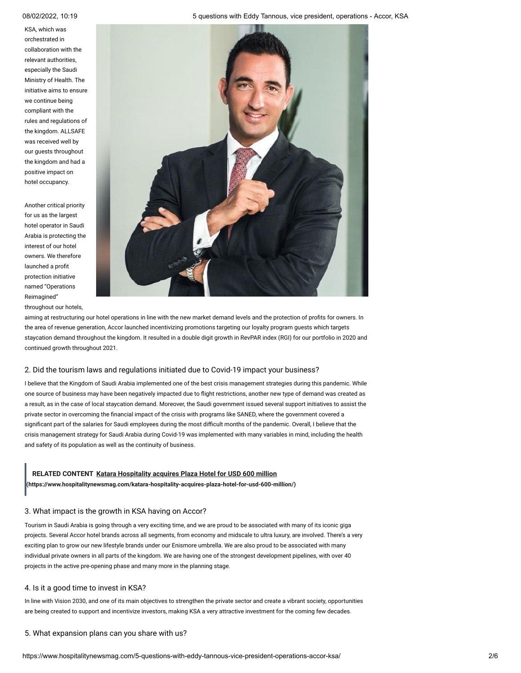KSA, which was orchestrated in collaboration with the relevant authorities, especially the Saudi Ministry of Health. The [initiative aims to ensure](https://www.hospitalitynewsmag.com/wp-content/uploads/2022/02/4ec032aa-9b4b-46d6-a8b6-83d7dc6e051d.jpg) we continue being compliant with the rules and regulations of the kingdom. ALLSAFE was received well by our guests throughout the kingdom and had a positive impact on hotel occupancy.

Another critical priority for us as the largest hotel operator in Saudi Arabia is protecting the interest of our hotel owners. We therefore launched a profit protection initiative named "Operations Reimagined"

throughout our hotels,

aiming at restructuring our hotel operations in line with the new market demand levels and the protection of profits for owners. In the area of revenue generation, Accor launched incentivizing promotions targeting our loyalty program guests which targets staycation demand throughout the kingdom. It resulted in a double digit growth in RevPAR index (RGI) for our portfolio in 2020 and continued growth throughout 2021.

# 2. Did the tourism laws and regulations initiated due to Covid-19 impact your business?

I believe that the Kingdom of Saudi Arabia implemented one of the best crisis management strategies during this pandemic. While one source of business may have been negatively impacted due to flight restrictions, another new type of demand was created as a result, as in the case of local staycation demand. Moreover, the Saudi government issued several support initiatives to assist the private sector in overcoming the financial impact of the crisis with programs like SANED, where the government covered a significant part of the salaries for Saudi employees during the most difficult months of the pandemic. Overall, I believe that the crisis management strategy for Saudi Arabia during Covid-19 was implemented with many variables in mind, including the health and safety of its population as well as the continuity of business.

**[\(https://www.hospitalitynewsmag.com/katara-hospitality-acquires-plaza-hotel-for-usd-600-million/\)](https://www.hospitalitynewsmag.com/katara-hospitality-acquires-plaza-hotel-for-usd-600-million/)**

# 3. What impact is the growth in KSA having on Accor?

Tourism in Saudi Arabia is going through a very exciting time, and we are proud to be associated with many of its iconic giga projects. Several Accor hotel brands across all segments, from economy and midscale to ultra luxury, are involved. There's a very exciting plan to grow our new lifestyle brands under our Enismore umbrella. We are also proud to be associated with many individual private owners in all parts of the kingdom. We are having one of the strongest development pipelines, with over 40 projects in the active pre-opening phase and many more in the planning stage. RELATED CONTENT Katara Hospitality acquires Plaza Hotel for USD 600 million (https://www.hospitalitynewsmag.com/katara-hospitality-acquires-plaza-hotel-for-usd-600-mi<br>3. What impact is the growth in KSA having on Accor?<br>To

# 4. Is it a good time to invest in KSA?

In line with Vision 2030, and one of its main objectives to strengthen the private sector and create a vibrant society, opportunities are being created to support and incentivize investors, making KSA a very attractive investment for the coming few decades.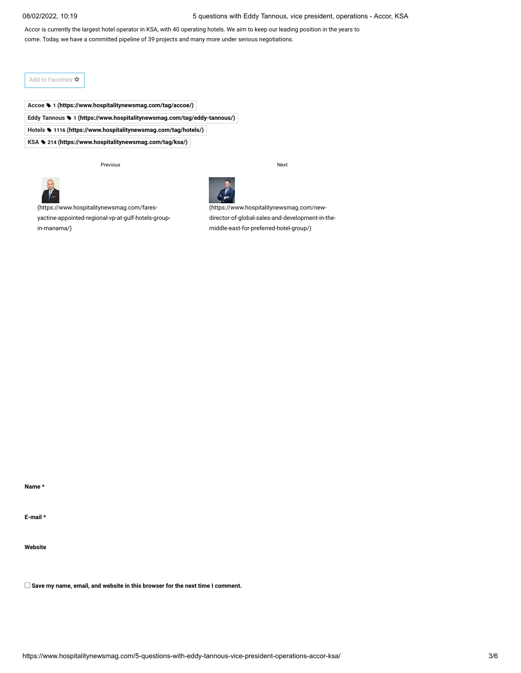08/02/2022, 10:19 5 questions with Eddy Tannous, vice president, operations - Accor, KSA

Accor is currently the largest hotel operator in KSA, with 40 operating hotels. We aim to keep our leading position in the years to come. Today, we have a committed pipeline of 39 projects and many more under serious negotiations.

Add to Favorites  $\mathbf{\dot{x}}$ 

**Accoe 1 [\(https://www.hospitalitynewsmag.com/tag/accoe/\)](https://www.hospitalitynewsmag.com/tag/accoe/) Eddy Tannous 1 [\(https://www.hospitalitynewsmag.com/tag/eddy-tannous/\)](https://www.hospitalitynewsmag.com/tag/eddy-tannous/) Hotels 1116 [\(https://www.hospitalitynewsmag.com/tag/hotels/\)](https://www.hospitalitynewsmag.com/tag/hotels/) KSA 214 [\(https://www.hospitalitynewsmag.com/tag/ksa/\)](https://www.hospitalitynewsmag.com/tag/ksa/)**

Previous Next



(https://www.hospitalitynewsmag.com/fares[yactine-appointed-regional-vp-at-gulf-hotels-group](https://www.hospitalitynewsmag.com/fares-yactine-appointed-regional-vp-at-gulf-hotels-group-in-manama/)in-manama/)

(https://www.hospitalitynewsmag.com/new[director-of-global-sales-and-development-in-the](https://www.hospitalitynewsmag.com/new-director-of-global-sales-and-development-in-the-middle-east-for-preferred-hotel-group/)middle-east-for-preferred-hotel-group/)

**Name \***

**E-mail \***

**Website**

**Save my name, email, and website in this browser for the next time I comment.**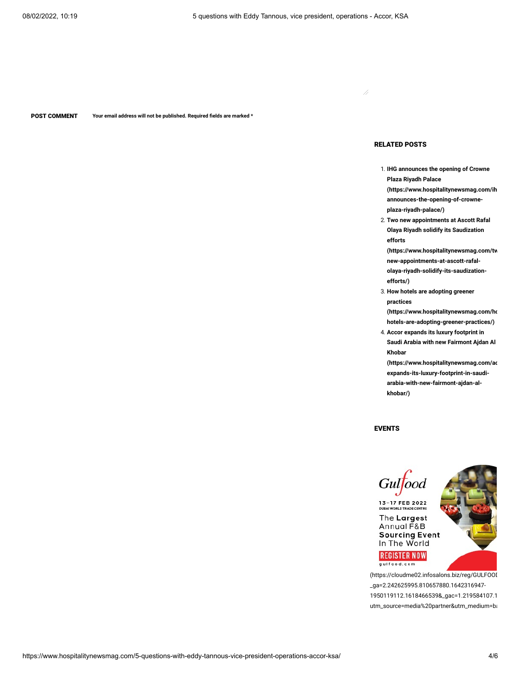POST COMMENT **Your email address will not be published. Required fields are marked \***

## RELATED POSTS

Ź

- 1. **IHG announces the opening of Crowne Plaza Riyadh Palace [\(https://www.hospitalitynewsmag.com/ih](https://www.hospitalitynewsmag.com/ihg-announces-the-opening-of-crowne-plaza-riyadh-palace/) announces-the-opening-of-crowneplaza-riyadh-palace/)**
- 2. **Two new appointments at Ascott Rafal Olaya Riyadh solidify its Saudization efforts**

**[\(https://www.hospitalitynewsmag.com/tw](https://www.hospitalitynewsmag.com/two-new-appointments-at-ascott-rafal-olaya-riyadh-solidify-its-saudization-efforts/) new-appointments-at-ascott-rafalolaya-riyadh-solidify-its-saudizationefforts/)**

3. **How hotels are adopting greener practices [\(https://www.hospitalitynewsmag.com/ho](https://www.hospitalitynewsmag.com/how-hotels-are-adopting-greener-practices/)**

**hotels-are-adopting-greener-practices/)**

4. **Accor expands its luxury footprint in Saudi Arabia with new Fairmont Ajdan Al Khobar**

**[\(https://www.hospitalitynewsmag.com/ac](https://www.hospitalitynewsmag.com/accor-expands-its-luxury-footprint-in-saudi-arabia-with-new-fairmont-ajdan-al-khobar/) expands-its-luxury-footprint-in-saudiarabia-with-new-fairmont-ajdan-alkhobar/)**

EVENTS



\_ga=2.242625995.810657880.1642316947- 1950119112.1618466539&\_gac=1.219584107.1 utm\_source=media%20partner&utm\_medium=ba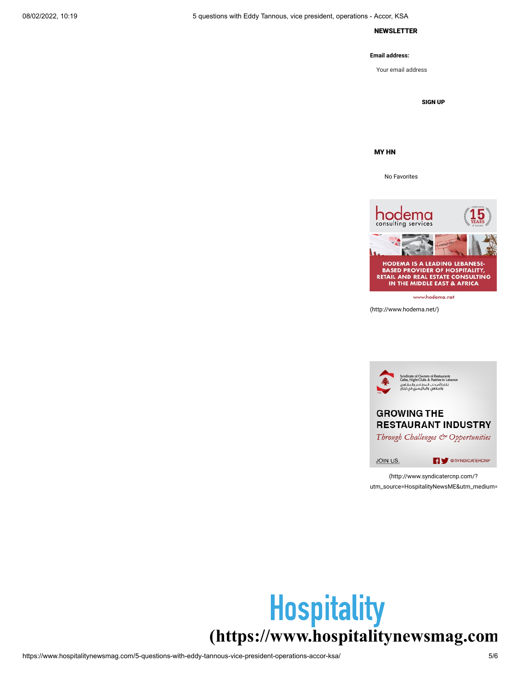## NEWSLETTER

## **Email address:**

Your email address

SIGN UP

MY HN

No Favorites



[\(http://www.hodema.net/\)](http://www.hodema.net/)



(http://www.syndicatercnp.com/? [utm\\_source=HospitalityNewsME&utm\\_medium=](http://www.syndicatercnp.com/?utm_source=HospitalityNewsME&utm_medium=referral&utm_campaign=HNME&utm_content=JoinUs)

# **[\(https://www.hospitalitynewsmag.com](https://www.hospitalitynewsmag.com/)**